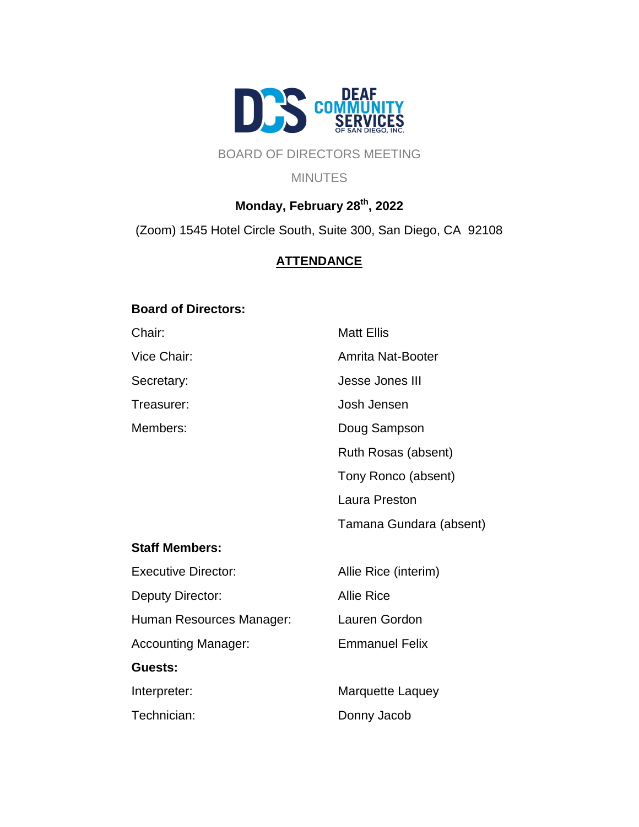

# BOARD OF DIRECTORS MEETING

#### MINUTES

# **Monday, February 28th, 2022**

(Zoom) 1545 Hotel Circle South, Suite 300, San Diego, CA 92108

# **ATTENDANCE**

### **Board of Directors:**

Chair: Matt Ellis Vice Chair: **Amrita Nat-Booter** Secretary: Secretary: Secretary: Jesse Jones III Treasurer: Josh Jensen Members: Doug Sampson Ruth Rosas (absent) Tony Ronco (absent) Laura Preston Tamana Gundara (absent) **Staff Members:** Executive Director: Allie Rice (interim) Deputy Director: Allie Rice Human Resources Manager: Lauren Gordon Accounting Manager: Emmanuel Felix **Guests:** Interpreter: Marquette Laquey Technician: Donny Jacob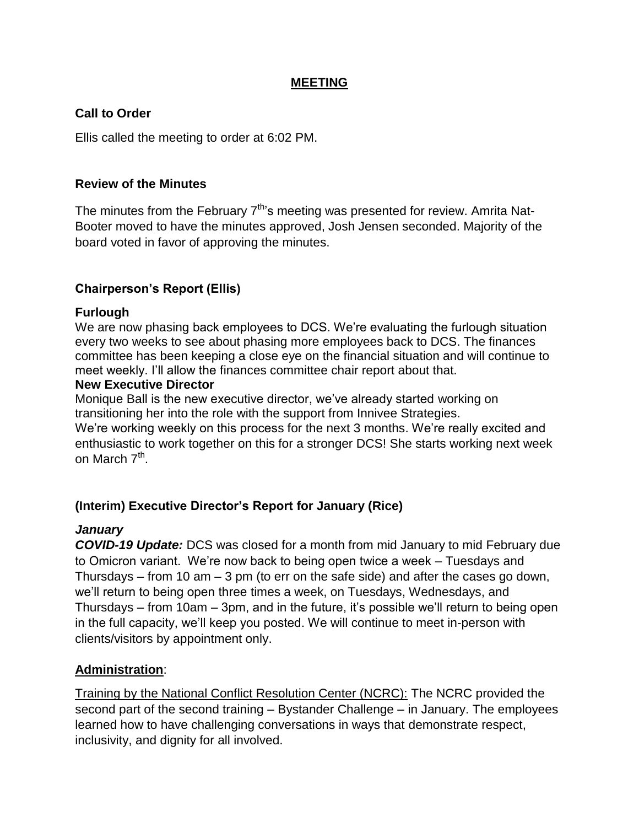## **MEETING**

## **Call to Order**

Ellis called the meeting to order at 6:02 PM.

### **Review of the Minutes**

The minutes from the February 7<sup>th</sup>'s meeting was presented for review. Amrita Nat-Booter moved to have the minutes approved, Josh Jensen seconded. Majority of the board voted in favor of approving the minutes.

# **Chairperson's Report (Ellis)**

## **Furlough**

We are now phasing back employees to DCS. We're evaluating the furlough situation every two weeks to see about phasing more employees back to DCS. The finances committee has been keeping a close eye on the financial situation and will continue to meet weekly. I'll allow the finances committee chair report about that.

### **New Executive Director**

Monique Ball is the new executive director, we've already started working on transitioning her into the role with the support from Innivee Strategies. We're working weekly on this process for the next 3 months. We're really excited and enthusiastic to work together on this for a stronger DCS! She starts working next week on March 7<sup>th</sup>.

# **(Interim) Executive Director's Report for January (Rice)**

# *January*

*COVID-19 Update:* DCS was closed for a month from mid January to mid February due to Omicron variant. We're now back to being open twice a week – Tuesdays and Thursdays – from 10 am – 3 pm (to err on the safe side) and after the cases go down, we'll return to being open three times a week, on Tuesdays, Wednesdays, and Thursdays – from 10am – 3pm, and in the future, it's possible we'll return to being open in the full capacity, we'll keep you posted. We will continue to meet in-person with clients/visitors by appointment only.

# **Administration**:

Training by the National Conflict Resolution Center (NCRC): The NCRC provided the second part of the second training – Bystander Challenge – in January. The employees learned how to have challenging conversations in ways that demonstrate respect, inclusivity, and dignity for all involved.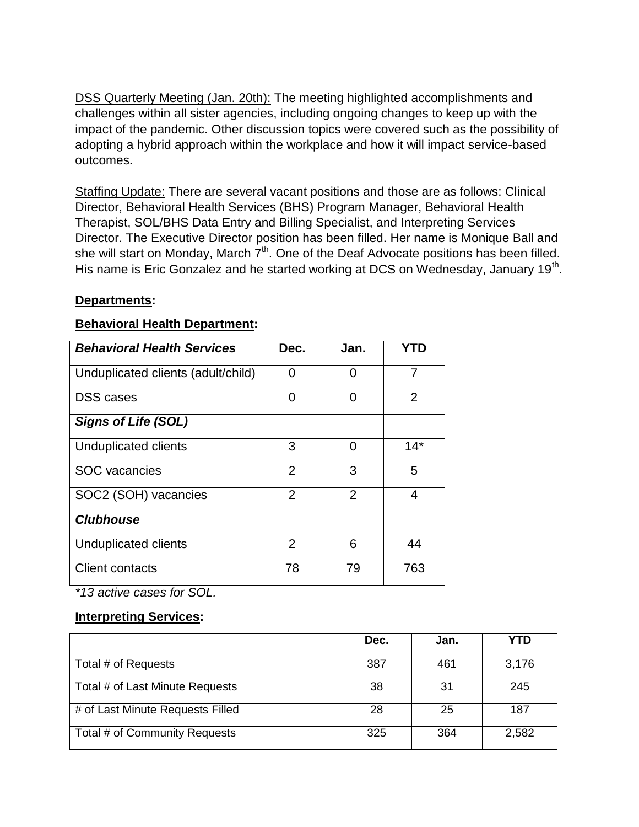DSS Quarterly Meeting (Jan. 20th): The meeting highlighted accomplishments and challenges within all sister agencies, including ongoing changes to keep up with the impact of the pandemic. Other discussion topics were covered such as the possibility of adopting a hybrid approach within the workplace and how it will impact service-based outcomes.

Staffing Update: There are several vacant positions and those are as follows: Clinical Director, Behavioral Health Services (BHS) Program Manager, Behavioral Health Therapist, SOL/BHS Data Entry and Billing Specialist, and Interpreting Services Director. The Executive Director position has been filled. Her name is Monique Ball and she will start on Monday, March  $7<sup>th</sup>$ . One of the Deaf Advocate positions has been filled. His name is Eric Gonzalez and he started working at DCS on Wednesday, January 19<sup>th</sup>.

## **Departments:**

## **Behavioral Health Department:**

| <b>Behavioral Health Services</b>  | Dec.           | Jan.           | YTD            |
|------------------------------------|----------------|----------------|----------------|
| Unduplicated clients (adult/child) | 0              | 0              | 7              |
| <b>DSS</b> cases                   | 0              | 0              | $\overline{2}$ |
| <b>Signs of Life (SOL)</b>         |                |                |                |
| Unduplicated clients               | 3              | 0              | $14*$          |
| <b>SOC</b> vacancies               | $\overline{2}$ | 3              | 5              |
| SOC2 (SOH) vacancies               | $\overline{2}$ | $\overline{2}$ | 4              |
| <b>Clubhouse</b>                   |                |                |                |
| Unduplicated clients               | 2              | 6              | 44             |
| <b>Client contacts</b>             | 78             | 79             | 763            |

*\*13 active cases for SOL.*

### **Interpreting Services:**

|                                  | Dec. | Jan. | YTD   |
|----------------------------------|------|------|-------|
| Total # of Requests              | 387  | 461  | 3,176 |
| Total # of Last Minute Requests  | 38   | 31   | 245   |
| # of Last Minute Requests Filled | 28   | 25   | 187   |
| Total # of Community Requests    | 325  | 364  | 2,582 |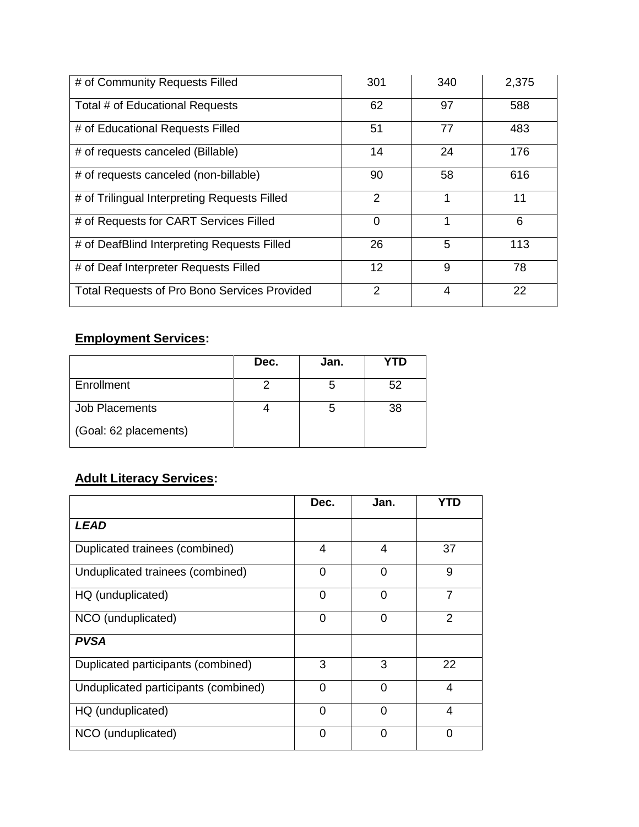| # of Community Requests Filled                      | 301     | 340 | 2,375 |
|-----------------------------------------------------|---------|-----|-------|
| Total # of Educational Requests                     | 62      | 97  | 588   |
| # of Educational Requests Filled                    | 51      | 77  | 483   |
| # of requests canceled (Billable)                   | 14      | 24  | 176   |
| # of requests canceled (non-billable)               | 90      | 58  | 616   |
| # of Trilingual Interpreting Requests Filled        | 2       | 1   | 11    |
| # of Requests for CART Services Filled              | 0       | 1   | 6     |
| # of DeafBlind Interpreting Requests Filled         | 26      | 5   | 113   |
| # of Deaf Interpreter Requests Filled               | $12 \,$ | 9   | 78    |
| <b>Total Requests of Pro Bono Services Provided</b> | 2       | 4   | 22    |

# **Employment Services:**

|                       | Dec. | Jan. | YTD |
|-----------------------|------|------|-----|
| Enrollment            |      |      | 52  |
| Job Placements        |      |      | 38  |
| (Goal: 62 placements) |      |      |     |

# **Adult Literacy Services:**

|                                      | Dec.     | Jan.     | YTD            |
|--------------------------------------|----------|----------|----------------|
| <i><b>LEAD</b></i>                   |          |          |                |
| Duplicated trainees (combined)       | 4        | 4        | 37             |
| Unduplicated trainees (combined)     | 0        | $\Omega$ | 9              |
| HQ (unduplicated)                    | 0        | 0        | 7              |
| NCO (unduplicated)                   | $\Omega$ | $\Omega$ | 2              |
| <b>PVSA</b>                          |          |          |                |
| Duplicated participants (combined)   | 3        | 3        | 22             |
| Unduplicated participants (combined) | $\Omega$ | $\Omega$ | $\overline{4}$ |
| HQ (unduplicated)                    | 0        | ∩        | 4              |
| NCO (unduplicated)                   | 0        | 0        | 0              |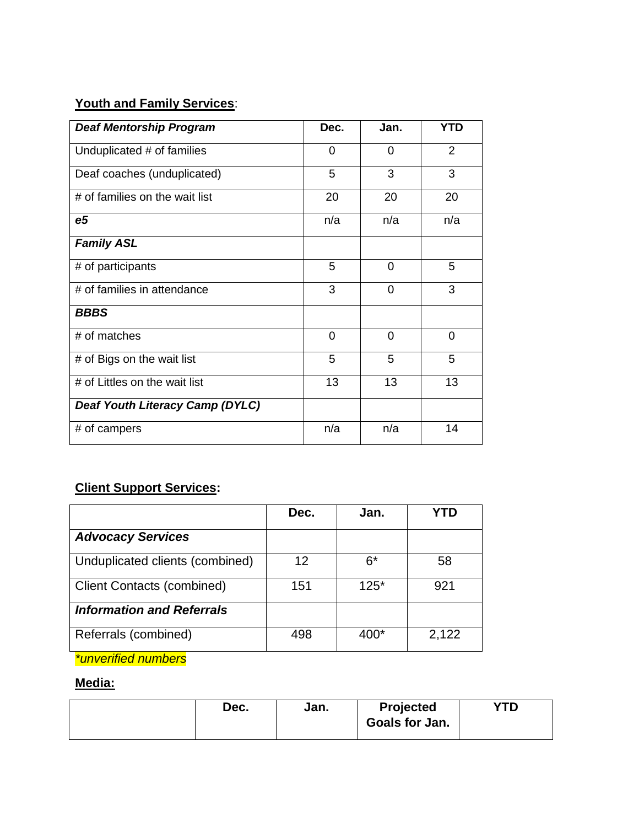# **Youth and Family Services**:

| <b>Deaf Mentorship Program</b>  | Dec.           | Jan.     | <b>YTD</b>     |
|---------------------------------|----------------|----------|----------------|
| Unduplicated # of families      | 0              | $\Omega$ | $\overline{2}$ |
| Deaf coaches (unduplicated)     | 5              | 3        | 3              |
| # of families on the wait list  | 20             | 20       | 20             |
| e <sub>5</sub>                  | n/a            | n/a      | n/a            |
| <b>Family ASL</b>               |                |          |                |
| # of participants               | 5              | 0        | 5              |
| # of families in attendance     | 3              | $\Omega$ | 3              |
| <b>BBBS</b>                     |                |          |                |
| # of matches                    | $\overline{0}$ | $\Omega$ | $\Omega$       |
| # of Bigs on the wait list      | 5              | 5        | 5              |
| # of Littles on the wait list   | 13             | 13       | 13             |
| Deaf Youth Literacy Camp (DYLC) |                |          |                |
| # of campers                    | n/a            | n/a      | 14             |

# **Client Support Services:**

|                                   | Dec. | Jan.   |       |
|-----------------------------------|------|--------|-------|
| <b>Advocacy Services</b>          |      |        |       |
| Unduplicated clients (combined)   | 12   | $6*$   | 58    |
| <b>Client Contacts (combined)</b> | 151  | $125*$ | 921   |
| <b>Information and Referrals</b>  |      |        |       |
| Referrals (combined)              | 498  | 400*   | 2,122 |

*\*unverified numbers*

# **Media:**

| Dec. | Jan. | Projected<br>Goals for Jan. | VTN<br>1 D |
|------|------|-----------------------------|------------|
|      |      |                             |            |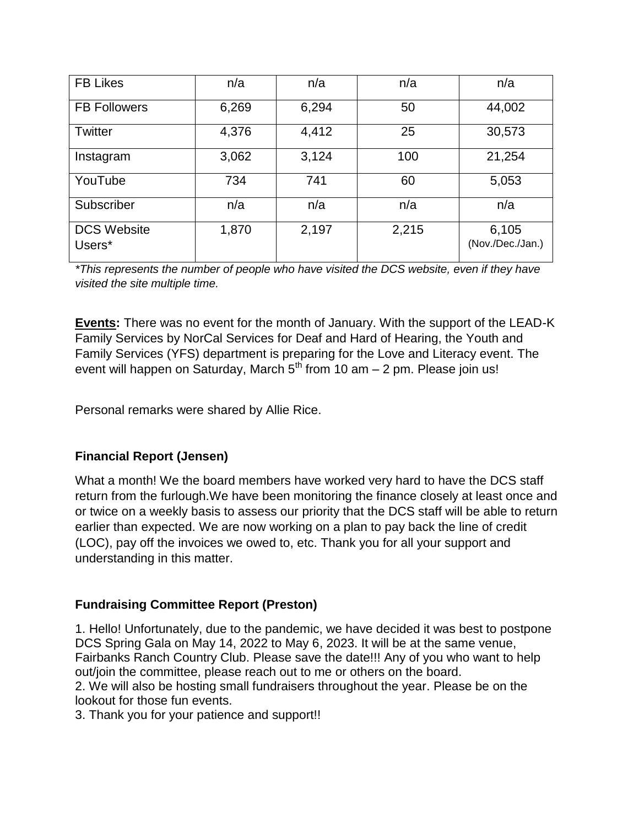| <b>FB Likes</b>              | n/a   | n/a   | n/a   | n/a                       |
|------------------------------|-------|-------|-------|---------------------------|
| <b>FB Followers</b>          | 6,269 | 6,294 | 50    | 44,002                    |
| <b>Twitter</b>               | 4,376 | 4,412 | 25    | 30,573                    |
| Instagram                    | 3,062 | 3,124 | 100   | 21,254                    |
| YouTube                      | 734   | 741   | 60    | 5,053                     |
| Subscriber                   | n/a   | n/a   | n/a   | n/a                       |
| <b>DCS Website</b><br>Users* | 1,870 | 2,197 | 2,215 | 6,105<br>(Nov./Dec./Jan.) |

*\*This represents the number of people who have visited the DCS website, even if they have visited the site multiple time.* 

**Events:** There was no event for the month of January. With the support of the LEAD-K Family Services by NorCal Services for Deaf and Hard of Hearing, the Youth and Family Services (YFS) department is preparing for the Love and Literacy event. The event will happen on Saturday, March  $5<sup>th</sup>$  from 10 am  $-$  2 pm. Please join us!

Personal remarks were shared by Allie Rice.

# **Financial Report (Jensen)**

What a month! We the board members have worked very hard to have the DCS staff return from the furlough.We have been monitoring the finance closely at least once and or twice on a weekly basis to assess our priority that the DCS staff will be able to return earlier than expected. We are now working on a plan to pay back the line of credit (LOC), pay off the invoices we owed to, etc. Thank you for all your support and understanding in this matter.

# **Fundraising Committee Report (Preston)**

1. Hello! Unfortunately, due to the pandemic, we have decided it was best to postpone DCS Spring Gala on May 14, 2022 to May 6, 2023. It will be at the same venue, Fairbanks Ranch Country Club. Please save the date!!! Any of you who want to help out/join the committee, please reach out to me or others on the board.

2. We will also be hosting small fundraisers throughout the year. Please be on the lookout for those fun events.

3. Thank you for your patience and support!!